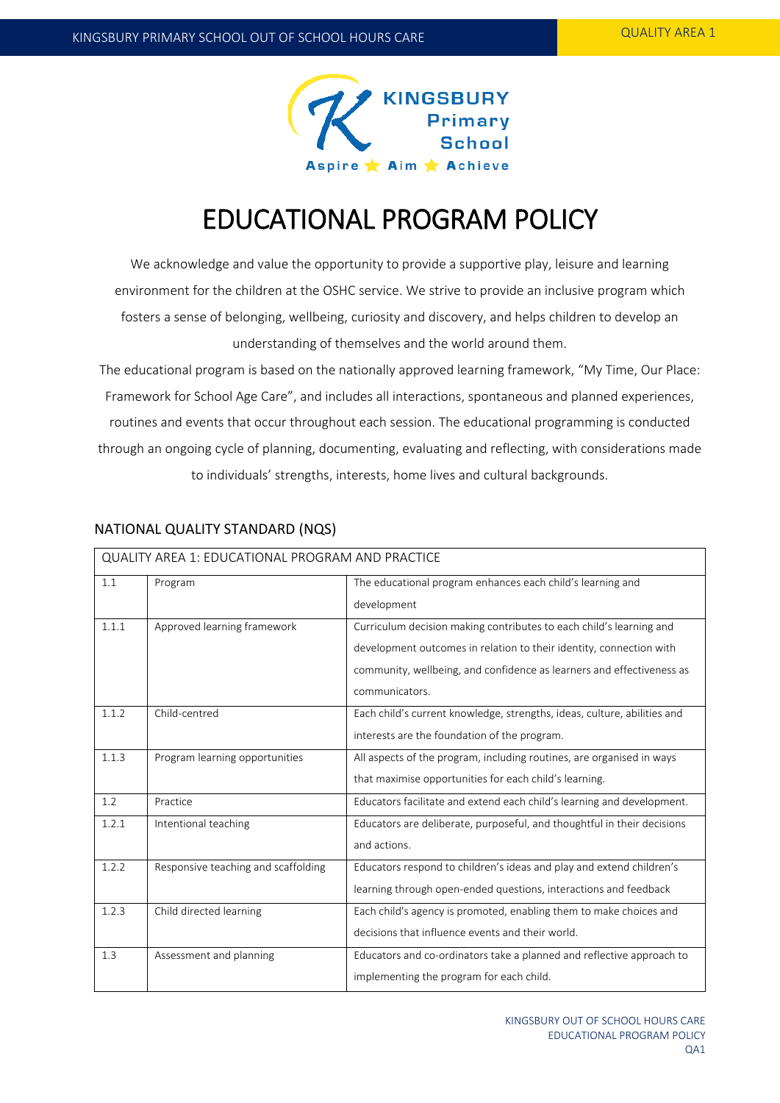

# EDUCATIONAL PROGRAM POLICY

We acknowledge and value the opportunity to provide a supportive play, leisure and learning environment for the children at the OSHC service. We strive to provide an inclusive program which fosters a sense of belonging, wellbeing, curiosity and discovery, and helps children to develop an understanding of themselves and the world around them.

The educational program is based on the nationally approved learning framework, "My Time, Our Place: Framework for School Age Care", and includes all interactions, spontaneous and planned experiences, routines and events that occur throughout each session. The educational programming is conducted through an ongoing cycle of planning, documenting, evaluating and reflecting, with considerations made to individuals' strengths, interests, home lives and cultural backgrounds.

| <b>QUALITY AREA 1: EDUCATIONAL PROGRAM AND PRACTICE</b> |                                     |                                                                                                                                                                                                                                       |  |  |
|---------------------------------------------------------|-------------------------------------|---------------------------------------------------------------------------------------------------------------------------------------------------------------------------------------------------------------------------------------|--|--|
| 1.1                                                     | Program                             | The educational program enhances each child's learning and<br>development                                                                                                                                                             |  |  |
| 1.1.1                                                   | Approved learning framework         | Curriculum decision making contributes to each child's learning and<br>development outcomes in relation to their identity, connection with<br>community, wellbeing, and confidence as learners and effectiveness as<br>communicators. |  |  |
| 1.1.2                                                   | Child-centred                       | Each child's current knowledge, strengths, ideas, culture, abilities and<br>interests are the foundation of the program.                                                                                                              |  |  |
| 1.1.3                                                   | Program learning opportunities      | All aspects of the program, including routines, are organised in ways<br>that maximise opportunities for each child's learning.                                                                                                       |  |  |
| 1.2                                                     | Practice                            | Educators facilitate and extend each child's learning and development.                                                                                                                                                                |  |  |
| 1.2.1                                                   | Intentional teaching                | Educators are deliberate, purposeful, and thoughtful in their decisions<br>and actions.                                                                                                                                               |  |  |
| 1.2.2                                                   | Responsive teaching and scaffolding | Educators respond to children's ideas and play and extend children's<br>learning through open-ended questions, interactions and feedback                                                                                              |  |  |
| 1.2.3                                                   | Child directed learning             | Each child's agency is promoted, enabling them to make choices and<br>decisions that influence events and their world.                                                                                                                |  |  |
| 1.3                                                     | Assessment and planning             | Educators and co-ordinators take a planned and reflective approach to<br>implementing the program for each child.                                                                                                                     |  |  |

### NATIONAL QUALITY STANDARD (NQS)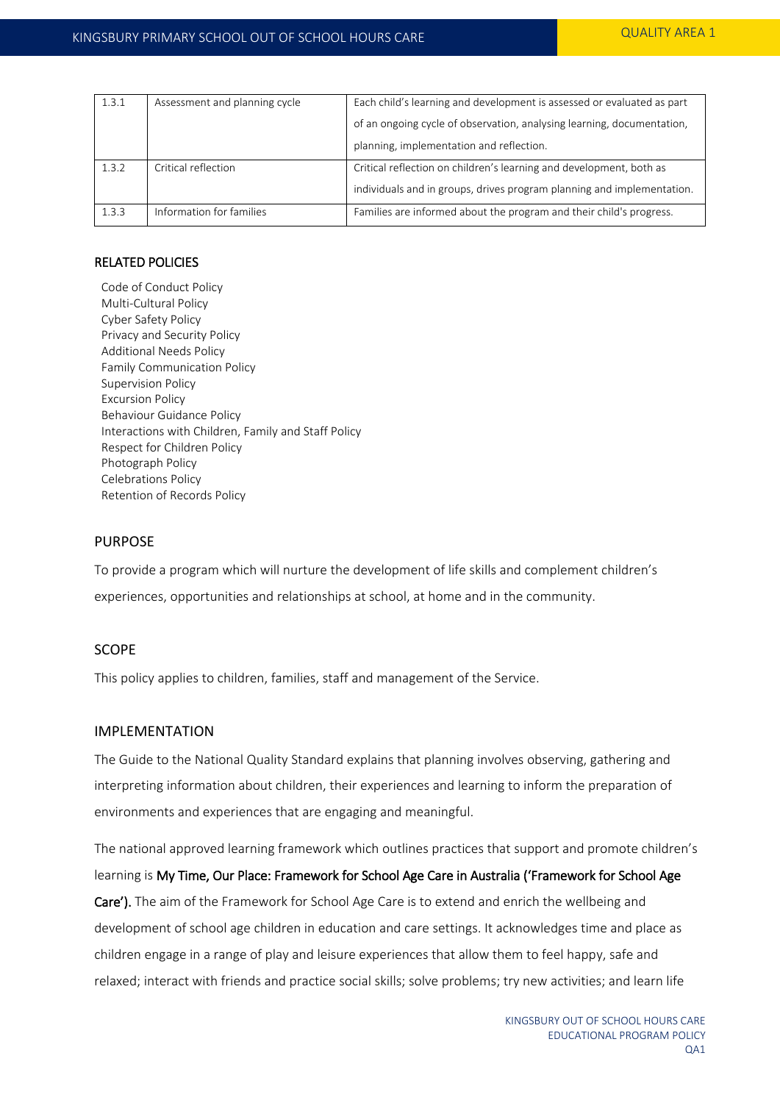| 1.3.1 | Assessment and planning cycle | Each child's learning and development is assessed or evaluated as part |  |
|-------|-------------------------------|------------------------------------------------------------------------|--|
|       |                               | of an ongoing cycle of observation, analysing learning, documentation, |  |
|       |                               | planning, implementation and reflection.                               |  |
| 1.3.2 | Critical reflection           | Critical reflection on children's learning and development, both as    |  |
|       |                               | individuals and in groups, drives program planning and implementation. |  |
| 1.3.3 | Information for families      | Families are informed about the program and their child's progress.    |  |

### RELATED POLICIES

Code of Conduct Policy Multi-Cultural Policy Cyber Safety Policy Privacy and Security Policy Additional Needs Policy Family Communication Policy Supervision Policy Excursion Policy Behaviour Guidance Policy Interactions with Children, Family and Staff Policy Respect for Children Policy Photograph Policy Celebrations Policy Retention of Records Policy

### PURPOSE

To provide a program which will nurture the development of life skills and complement children's experiences, opportunities and relationships at school, at home and in the community.

### SCOPE

This policy applies to children, families, staff and management of the Service.

### IMPLEMENTATION

The Guide to the National Quality Standard explains that planning involves observing, gathering and interpreting information about children, their experiences and learning to inform the preparation of environments and experiences that are engaging and meaningful.

The national approved learning framework which outlines practices that support and promote children's learning is My Time, Our Place: Framework for School Age Care in Australia ('Framework for School Age Care'). The aim of the Framework for School Age Care is to extend and enrich the wellbeing and development of school age children in education and care settings. It acknowledges time and place as children engage in a range of play and leisure experiences that allow them to feel happy, safe and relaxed; interact with friends and practice social skills; solve problems; try new activities; and learn life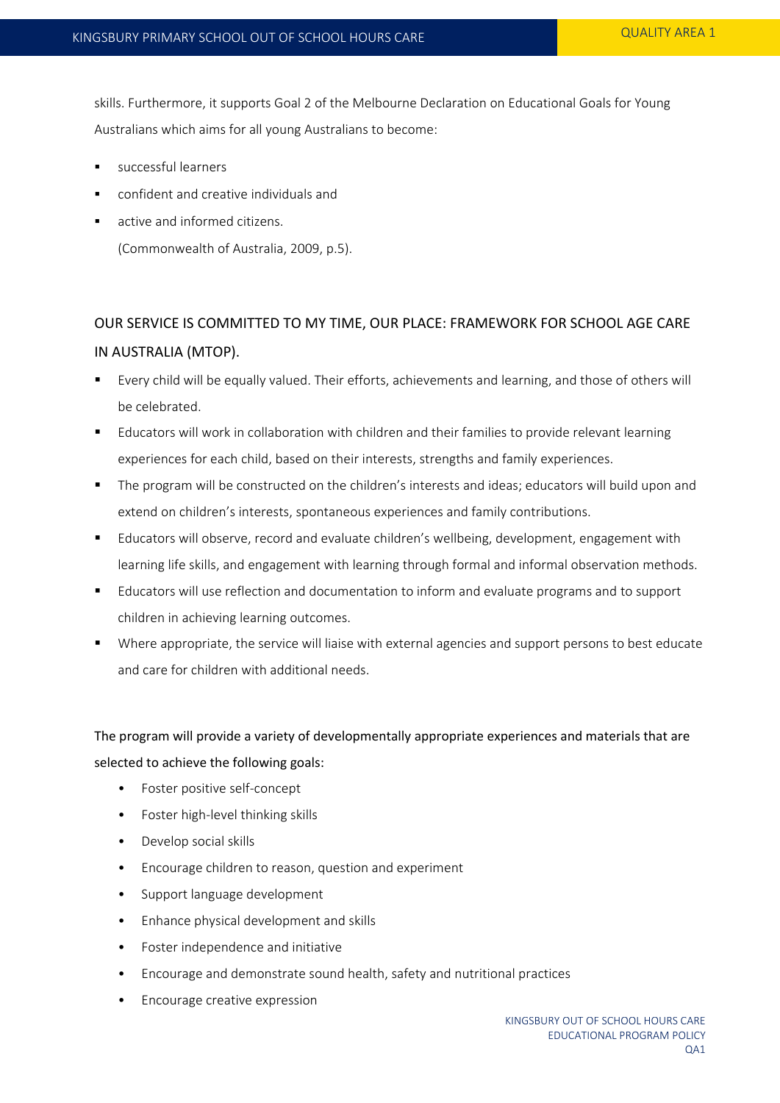skills. Furthermore, it supports Goal 2 of the Melbourne Declaration on Educational Goals for Young Australians which aims for all young Australians to become:

- successful learners
- confident and creative individuals and
- active and informed citizens. (Commonwealth of Australia, 2009, p.5).

## OUR SERVICE IS COMMITTED TO MY TIME, OUR PLACE: FRAMEWORK FOR SCHOOL AGE CARE IN AUSTRALIA (MTOP).

- Every child will be equally valued. Their efforts, achievements and learning, and those of others will be celebrated.
- Educators will work in collaboration with children and their families to provide relevant learning experiences for each child, based on their interests, strengths and family experiences.
- The program will be constructed on the children's interests and ideas; educators will build upon and extend on children's interests, spontaneous experiences and family contributions.
- Educators will observe, record and evaluate children's wellbeing, development, engagement with learning life skills, and engagement with learning through formal and informal observation methods.
- **Educators will use reflection and documentation to inform and evaluate programs and to support** children in achieving learning outcomes.
- Where appropriate, the service will liaise with external agencies and support persons to best educate and care for children with additional needs.

The program will provide a variety of developmentally appropriate experiences and materials that are selected to achieve the following goals:

- Foster positive self-concept
- Foster high-level thinking skills
- Develop social skills
- Encourage children to reason, question and experiment
- Support language development
- Enhance physical development and skills
- Foster independence and initiative
- Encourage and demonstrate sound health, safety and nutritional practices
- Encourage creative expression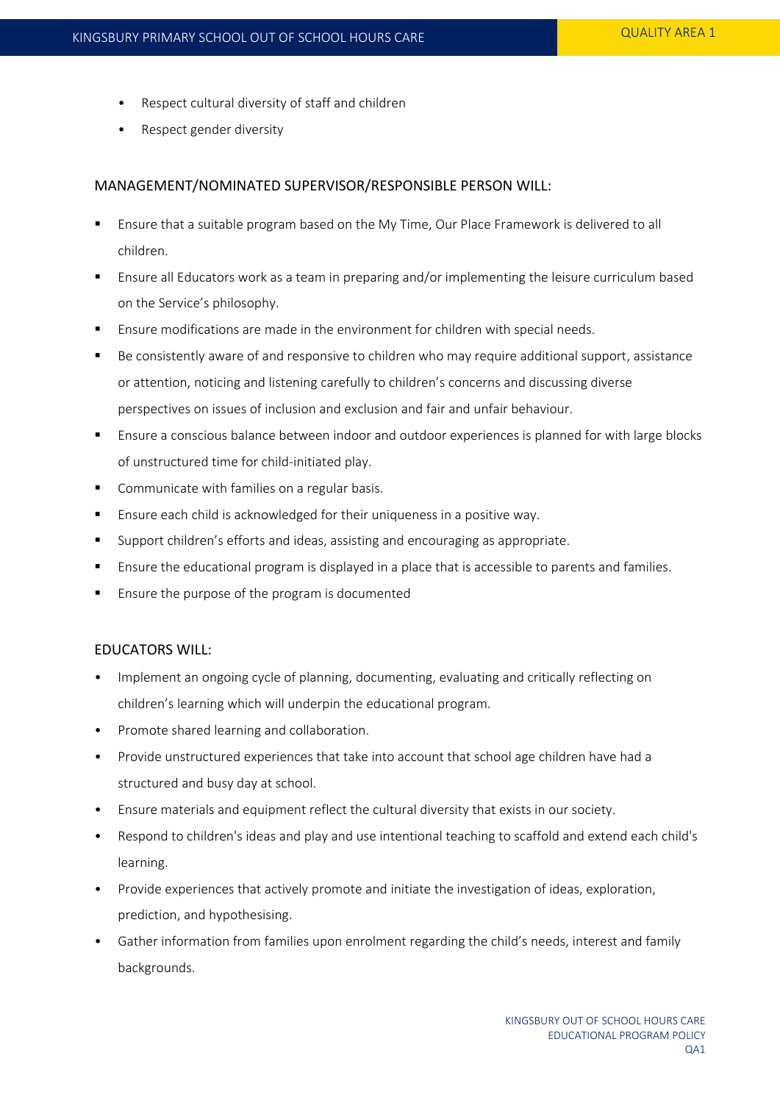- Respect cultural diversity of staff and children
- Respect gender diversity

### MANAGEMENT/NOMINATED SUPERVISOR/RESPONSIBLE PERSON WILL:

- Ensure that a suitable program based on the My Time, Our Place Framework is delivered to all children.
- Ensure all Educators work as a team in preparing and/or implementing the leisure curriculum based on the Service's philosophy.
- Ensure modifications are made in the environment for children with special needs.
- Be consistently aware of and responsive to children who may require additional support, assistance or attention, noticing and listening carefully to children's concerns and discussing diverse perspectives on issues of inclusion and exclusion and fair and unfair behaviour.
- **Ensure a conscious balance between indoor and outdoor experiences is planned for with large blocks** of unstructured time for child-initiated play.
- Communicate with families on a regular basis.
- **Ensure each child is acknowledged for their uniqueness in a positive way.**
- Support children's efforts and ideas, assisting and encouraging as appropriate.
- Ensure the educational program is displayed in a place that is accessible to parents and families.
- Ensure the purpose of the program is documented

#### EDUCATORS WILL:

- Implement an ongoing cycle of planning, documenting, evaluating and critically reflecting on children's learning which will underpin the educational program.
- Promote shared learning and collaboration.
- Provide unstructured experiences that take into account that school age children have had a structured and busy day at school.
- Ensure materials and equipment reflect the cultural diversity that exists in our society.
- Respond to children's ideas and play and use intentional teaching to scaffold and extend each child's learning.
- Provide experiences that actively promote and initiate the investigation of ideas, exploration, prediction, and hypothesising.
- Gather information from families upon enrolment regarding the child's needs, interest and family backgrounds.